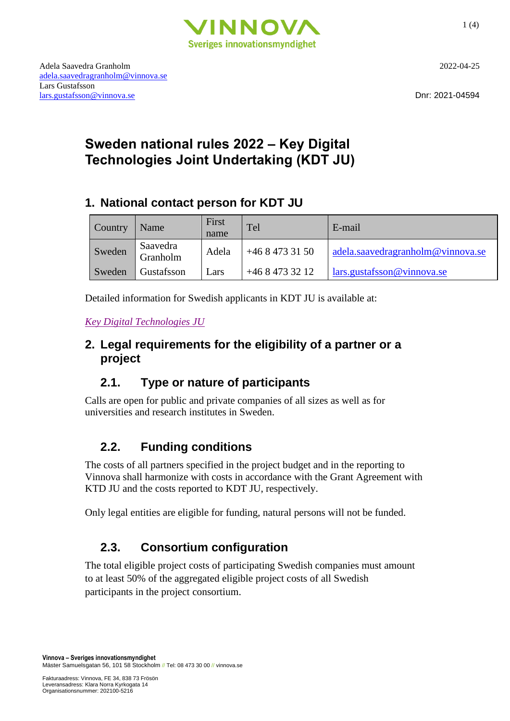

[adela.saavedragranholm@vinnova.se](mailto:adela.saavedragranholm@vinnova.se) Lars Gustafsson [lars.gustafsson@vinnova.se](mailto:lars.gustafsson@vinnova.se) Dnr: 2021-04594

# **Sweden national rules 2022 – Key Digital Technologies Joint Undertaking (KDT JU)**

## **1. National contact person for KDT JU**

| Country | Name                 | First<br>name | Tel           | E-mail                            |
|---------|----------------------|---------------|---------------|-----------------------------------|
| Sweden  | Saavedra<br>Granholm | Adela         | $+4684733150$ | adela.saavedragranholm@vinnova.se |
| Sweden  | Gustafsson           | Lars          | $+4684733212$ | lars.gustafsson@vinnova.se        |

Detailed information for Swedish applicants in KDT JU is available at:

*[Key Digital Technologies JU](https://www.vinnova.se/e/key-digital-technologies-ju/)*

### **2. Legal requirements for the eligibility of a partner or a project**

## **2.1. Type or nature of participants**

Calls are open for public and private companies of all sizes as well as for universities and research institutes in Sweden.

# **2.2. Funding conditions**

The costs of all partners specified in the project budget and in the reporting to Vinnova shall harmonize with costs in accordance with the Grant Agreement with KTD JU and the costs reported to KDT JU, respectively.

Only legal entities are eligible for funding, natural persons will not be funded.

## **2.3. Consortium configuration**

The total eligible project costs of participating Swedish companies must amount to at least 50% of the aggregated eligible project costs of all Swedish participants in the project consortium.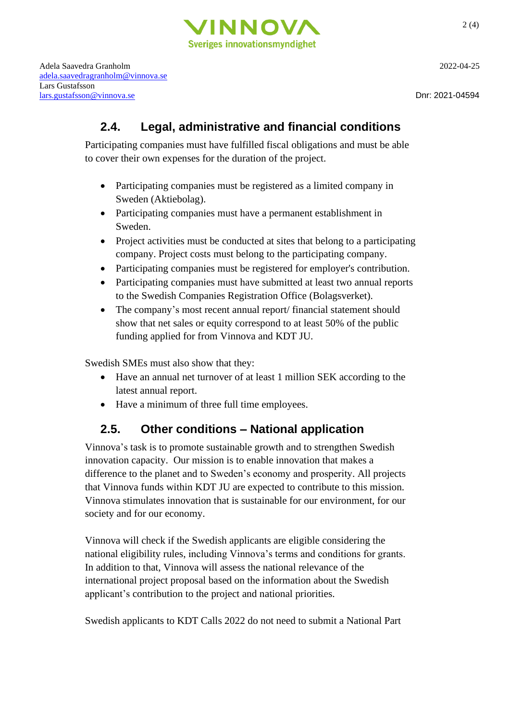

Adela Saavedra Granholm 2022-04-25 [adela.saavedragranholm@vinnova.se](mailto:adela.saavedragranholm@vinnova.se) Lars Gustafsson [lars.gustafsson@vinnova.se](mailto:lars.gustafsson@vinnova.se) Dnr: 2021-04594

### **2.4. Legal, administrative and financial conditions**

Participating companies must have fulfilled fiscal obligations and must be able to cover their own expenses for the duration of the project.

- Participating companies must be registered as a limited company in Sweden (Aktiebolag).
- Participating companies must have a permanent establishment in Sweden.
- Project activities must be conducted at sites that belong to a participating company. Project costs must belong to the participating company.
- Participating companies must be registered for employer's contribution.
- Participating companies must have submitted at least two annual reports to the Swedish Companies Registration Office (Bolagsverket).
- The company's most recent annual report/ financial statement should show that net sales or equity correspond to at least 50% of the public funding applied for from Vinnova and KDT JU.

Swedish SMEs must also show that they:

- Have an annual net turnover of at least 1 million SEK according to the latest annual report.
- Have a minimum of three full time employees.

## **2.5. Other conditions – National application**

Vinnova's task is to promote sustainable growth and to strengthen Swedish innovation capacity. Our mission is to enable innovation that makes a difference to the planet and to Sweden's economy and prosperity. All projects that Vinnova funds within KDT JU are expected to contribute to this mission. Vinnova stimulates innovation that is sustainable for our environment, for our society and for our economy.

Vinnova will check if the Swedish applicants are eligible considering the national eligibility rules, including Vinnova's terms and conditions for grants. In addition to that, Vinnova will assess the national relevance of the international project proposal based on the information about the Swedish applicant's contribution to the project and national priorities.

Swedish applicants to KDT Calls 2022 do not need to submit a National Part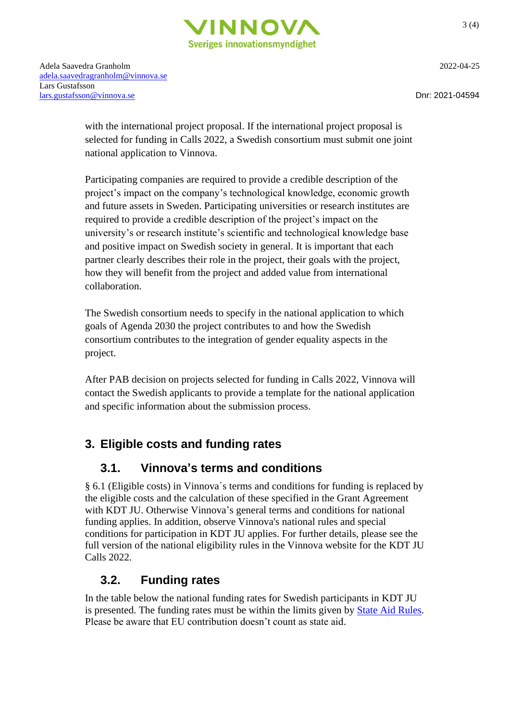

with the international project proposal. If the international project proposal is selected for funding in Calls 2022, a Swedish consortium must submit one joint national application to Vinnova.

Participating companies are required to provide a credible description of the project's impact on the company's technological knowledge, economic growth and future assets in Sweden. Participating universities or research institutes are required to provide a credible description of the project's impact on the university's or research institute's scientific and technological knowledge base and positive impact on Swedish society in general. It is important that each partner clearly describes their role in the project, their goals with the project, how they will benefit from the project and added value from international collaboration.

The Swedish consortium needs to specify in the national application to which goals of Agenda 2030 the project contributes to and how the Swedish consortium contributes to the integration of gender equality aspects in the project.

After PAB decision on projects selected for funding in Calls 2022, Vinnova will contact the Swedish applicants to provide a template for the national application and specific information about the submission process.

## **3. Eligible costs and funding rates**

#### **3.1. Vinnova's terms and conditions**

§ 6.1 (Eligible costs) in Vinnova´s terms and conditions for funding is replaced by the eligible costs and the calculation of these specified in the Grant Agreement with KDT JU. Otherwise Vinnova's general terms and conditions for national funding applies. In addition, observe Vinnova's national rules and special conditions for participation in KDT JU applies. For further details, please see the full version of the national eligibility rules in the Vinnova website for the KDT JU Calls 2022.

### **3.2. Funding rates**

In the table below the national funding rates for Swedish participants in KDT JU is presented. The funding rates must be within the limits given by [State Aid Rules.](https://www.vinnova.se/sok-finansiering/regler-for-finansiering/statligt-stod/) Please be aware that EU contribution doesn't count as state aid.